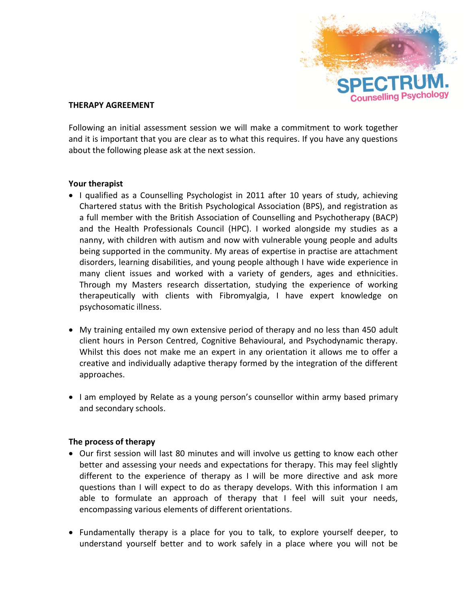

#### **THERAPY AGREEMENT**

Following an initial assessment session we will make a commitment to work together and it is important that you are clear as to what this requires. If you have any questions about the following please ask at the next session.

#### **Your therapist**

- I qualified as a Counselling Psychologist in 2011 after 10 years of study, achieving Chartered status with the British Psychological Association (BPS), and registration as a full member with the British Association of Counselling and Psychotherapy (BACP) and the Health Professionals Council (HPC). I worked alongside my studies as a nanny, with children with autism and now with vulnerable young people and adults being supported in the community. My areas of expertise in practise are attachment disorders, learning disabilities, and young people although I have wide experience in many client issues and worked with a variety of genders, ages and ethnicities. Through my Masters research dissertation, studying the experience of working therapeutically with clients with Fibromyalgia, I have expert knowledge on psychosomatic illness.
- My training entailed my own extensive period of therapy and no less than 450 adult client hours in Person Centred, Cognitive Behavioural, and Psychodynamic therapy. Whilst this does not make me an expert in any orientation it allows me to offer a creative and individually adaptive therapy formed by the integration of the different approaches.
- I am employed by Relate as a young person's counsellor within army based primary and secondary schools.

### **The process of therapy**

- Our first session will last 80 minutes and will involve us getting to know each other better and assessing your needs and expectations for therapy. This may feel slightly different to the experience of therapy as I will be more directive and ask more questions than I will expect to do as therapy develops. With this information I am able to formulate an approach of therapy that I feel will suit your needs, encompassing various elements of different orientations.
- Fundamentally therapy is a place for you to talk, to explore yourself deeper, to understand yourself better and to work safely in a place where you will not be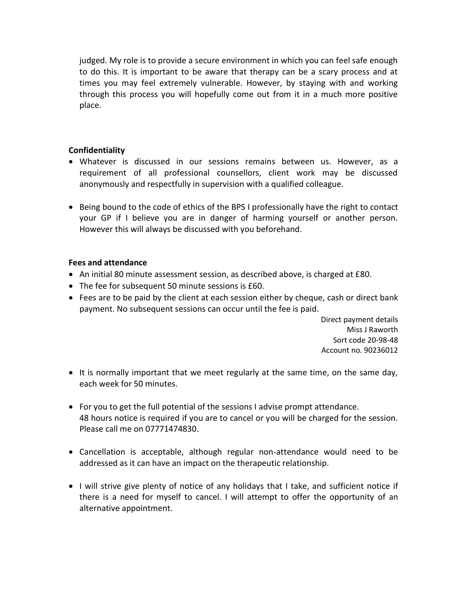judged. My role is to provide a secure environment in which you can feel safe enough to do this. It is important to be aware that therapy can be a scary process and at times you may feel extremely vulnerable. However, by staying with and working through this process you will hopefully come out from it in a much more positive place.

# **Confidentiality**

- Whatever is discussed in our sessions remains between us. However, as a requirement of all professional counsellors, client work may be discussed anonymously and respectfully in supervision with a qualified colleague.
- Being bound to the code of ethics of the BPS I professionally have the right to contact your GP if I believe you are in danger of harming yourself or another person. However this will always be discussed with you beforehand.

### **Fees and attendance**

- An initial 80 minute assessment session, as described above, is charged at £80.
- The fee for subsequent 50 minute sessions is £60.
- Fees are to be paid by the client at each session either by cheque, cash or direct bank payment. No subsequent sessions can occur until the fee is paid.

 Direct payment details Miss J Raworth Sort code 20-98-48 Account no. 90236012

- It is normally important that we meet regularly at the same time, on the same day, each week for 50 minutes.
- For you to get the full potential of the sessions I advise prompt attendance. 48 hours notice is required if you are to cancel or you will be charged for the session. Please call me on 07771474830.
- Cancellation is acceptable, although regular non-attendance would need to be addressed as it can have an impact on the therapeutic relationship.
- I will strive give plenty of notice of any holidays that I take, and sufficient notice if there is a need for myself to cancel. I will attempt to offer the opportunity of an alternative appointment.